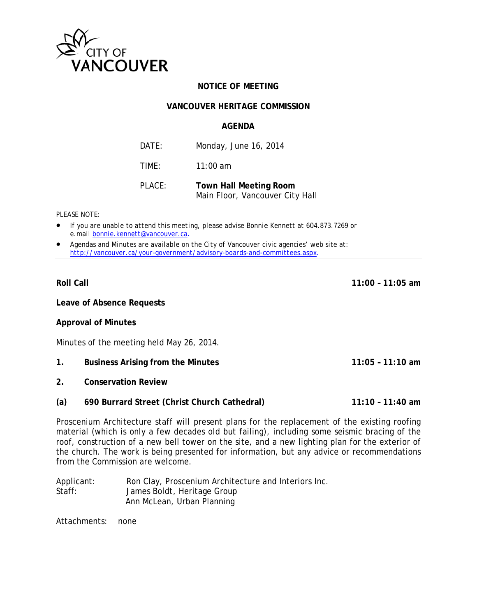

# **NOTICE OF MEETING**

## **VANCOUVER HERITAGE COMMISSION**

## **AGFNDA**

| DATE:  | Monday, June 16, 2014                                            |
|--------|------------------------------------------------------------------|
| TIMF:  | $11:00$ am                                                       |
| PLACE: | <b>Town Hall Meeting Room</b><br>Main Floor, Vancouver City Hall |

#### PLEASE NOTE:

- If you are unable to attend this meeting, please advise Bonnie Kennett at 604.873.7269 or e.mail bonnie.kennett@vancouver.ca.
- Agendas and Minutes are available on the City of Vancouver civic agencies' web site at: http://vancouver.ca/your-government/advisory-boards-and-committees.aspx.

## **Roll Call**

Leave of Absence Requests

**Approval of Minutes** 

Minutes of the meeting held May 26, 2014.

- $1<sub>1</sub>$ **Business Arising from the Minutes**
- $2.$ **Conservation Review**
- 690 Burrard Street (Christ Church Cathedral)  $11:10 - 11:40$  am  $(a)$

Proscenium Architecture staff will present plans for the replacement of the existing roofing material (which is only a few decades old but failing), including some seismic bracing of the roof, construction of a new bell tower on the site, and a new lighting plan for the exterior of the church. The work is being presented for information, but any advice or recommendations from the Commission are welcome.

Ron Clay, Proscenium Architecture and Interiors Inc. Applicant:  $Staff:$ James Boldt, Heritage Group Ann McLean, Urban Planning

Attachments: none  $11:00 - 11:05$  am

 $11:05 - 11:10$  am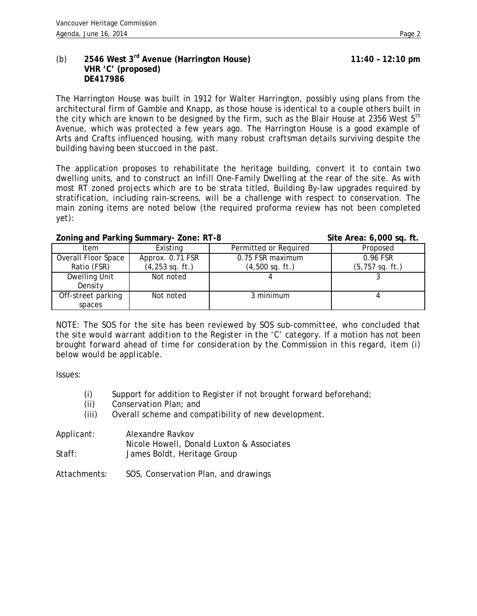# (b) **2546 West 3rd Avenue (Harrington House) 11:40 – 12:10 pm VHR 'C' (proposed) DE417986**

The Harrington House was built in 1912 for Walter Harrington, possibly using plans from the architectural firm of Gamble and Knapp, as those house is identical to a couple others built in the city which are known to be designed by the firm, such as the Blair House at 2356 West  $5<sup>th</sup>$ Avenue, which was protected a few years ago. The Harrington House is a good example of Arts and Crafts influenced housing, with many robust craftsman details surviving despite the building having been stuccoed in the past.

The application proposes to rehabilitate the heritage building, convert it to contain two dwelling units, and to construct an Infill One-Family Dwelling at the rear of the site. As with most RT zoned projects which are to be strata titled, Building By-law upgrades required by stratification, including rain-screens, will be a challenge with respect to conservation. The main zoning items are noted below (the required proforma review has not been completed yet):

#### Zoning and Parking Summary-Zone: RT-8 Site Area: 6,000 sq. ft.

| Item                | Existing           | Permitted or Required | Proposed           |
|---------------------|--------------------|-----------------------|--------------------|
| Overall Floor Space | Approx. 0.71 FSR   | 0.75 FSR maximum      | 0.96 FSR           |
| Ratio (FSR)         | $(4, 253$ sq. ft.) | $(4,500$ sq. ft.)     | $(5, 757$ sq. ft.) |
| Dwelling Unit       | Not noted          |                       |                    |
| Density             |                    |                       |                    |
| Off-street parking  | Not noted          | 3 minimum             |                    |
| spaces              |                    |                       |                    |

*NOTE: The SOS for the site has been reviewed by SOS sub-committee, who concluded that the site would warrant addition to the Register in the 'C' category. If a motion has not been brought forward ahead of time for consideration by the Commission in this regard, item (i) below would be applicable.*

Issues:

- (i) Support for addition to Register if not brought forward beforehand;
- (ii) Conservation Plan; and
- (iii) Overall scheme and compatibility of new development.

| Applicant: | Alexandre Ravkov                          |
|------------|-------------------------------------------|
|            | Nicole Howell, Donald Luxton & Associates |
| Staff:     | James Boldt, Heritage Group               |

Attachments: SOS, Conservation Plan, and drawings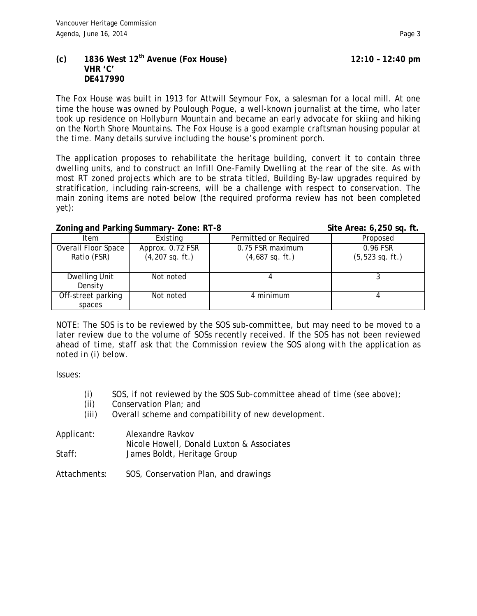## **(c) 1836 West 12th Avenue (Fox House) 12:10 – 12:40 pm VHR 'C' DE417990**

The Fox House was built in 1913 for Attwill Seymour Fox, a salesman for a local mill. At one time the house was owned by Poulough Pogue, a well-known journalist at the time, who later took up residence on Hollyburn Mountain and became an early advocate for skiing and hiking on the North Shore Mountains. The Fox House is a good example craftsman housing popular at the time. Many details survive including the house's prominent porch.

The application proposes to rehabilitate the heritage building, convert it to contain three dwelling units, and to construct an Infill One-Family Dwelling at the rear of the site. As with most RT zoned projects which are to be strata titled, Building By-law upgrades required by stratification, including rain-screens, will be a challenge with respect to conservation. The main zoning items are noted below (the required proforma review has not been completed yet):

## **Zoning and Parking Summary- Zone: RT-8 Site Area: 6,250 sq. ft.**

| Item                               | Existing                              | Permitted or Required                 | Proposed                       |
|------------------------------------|---------------------------------------|---------------------------------------|--------------------------------|
| Overall Floor Space<br>Ratio (FSR) | Approx. 0.72 FSR<br>$(4,207$ sq. ft.) | 0.75 FSR maximum<br>$(4,687$ sq. ft.) | 0.96 FSR<br>$(5, 523$ sq. ft.) |
| Dwelling Unit<br>Density           | Not noted                             |                                       |                                |
| Off-street parking<br>spaces       | Not noted                             | 4 minimum                             |                                |

*NOTE: The SOS is to be reviewed by the SOS sub-committee, but may need to be moved to a later review due to the volume of SOSs recently received. If the SOS has not been reviewed ahead of time, staff ask that the Commission review the SOS along with the application as noted in (i) below.*

Issues:

- (i) SOS, if not reviewed by the SOS Sub-committee ahead of time (see above);
- (ii) Conservation Plan; and
- (iii) Overall scheme and compatibility of new development.

| Applicant: | Alexandre Ravkov                          |
|------------|-------------------------------------------|
|            | Nicole Howell, Donald Luxton & Associates |
| Staff:     | James Boldt, Heritage Group               |

Attachments: SOS, Conservation Plan, and drawings